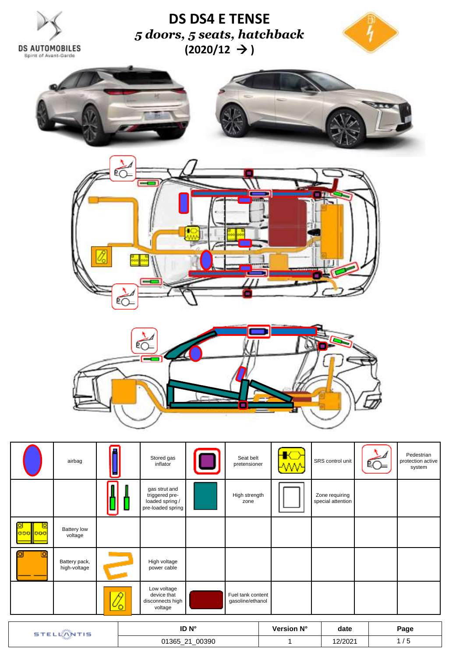



|         | airbag                        |           | Stored gas<br>inflator                                                  | Seat belt<br>pretensioner             | -WW- | SRS control unit                    | Pedestrian<br>protection active<br>system |
|---------|-------------------------------|-----------|-------------------------------------------------------------------------|---------------------------------------|------|-------------------------------------|-------------------------------------------|
|         |                               |           | gas strut and<br>triggered pre-<br>loaded spring /<br>pre-loaded spring | High strength<br>zone                 |      | Zone requiring<br>special attention |                                           |
| 000 000 | <b>Battery low</b><br>voltage |           |                                                                         |                                       |      |                                     |                                           |
|         | Battery pack,<br>high-voltage |           | High voltage<br>power cable                                             |                                       |      |                                     |                                           |
|         |                               | <u>୰୦</u> | Low voltage<br>device that<br>disconnects high<br>voltage               | Fuel tank content<br>gasoline/ethanol |      |                                     |                                           |

| TIS | ID N°                                          | Version N° | date    | Page |
|-----|------------------------------------------------|------------|---------|------|
|     | _00390<br>01365_21<br>$\overline{\phantom{a}}$ |            | 12/2021 |      |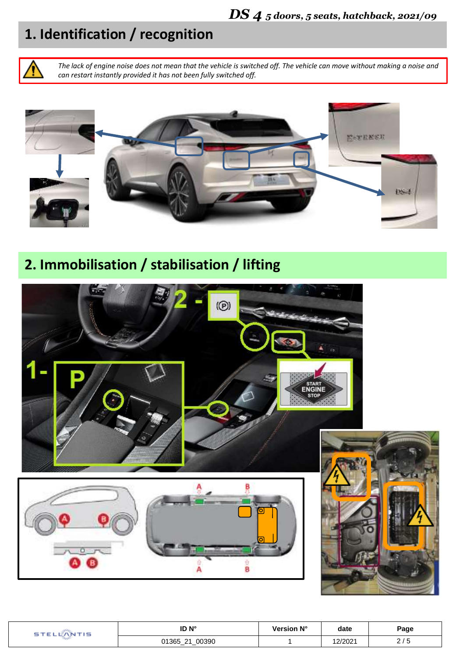# **1. Identification / recognition**

*The lack of engine noise does not mean that the vehicle is switched off. The vehicle can move without making a noise and can restart instantly provided it has not been fully switched off.*



**2. Immobilisation / stabilisation / lifting**



| ID N°                                | √ersion N° | date            | Page        |
|--------------------------------------|------------|-----------------|-------------|
| 00390<br>$\Omega$<br>01365<br>-- - - |            | רחרור<br>21 ZUZ | <u> 1 u</u> |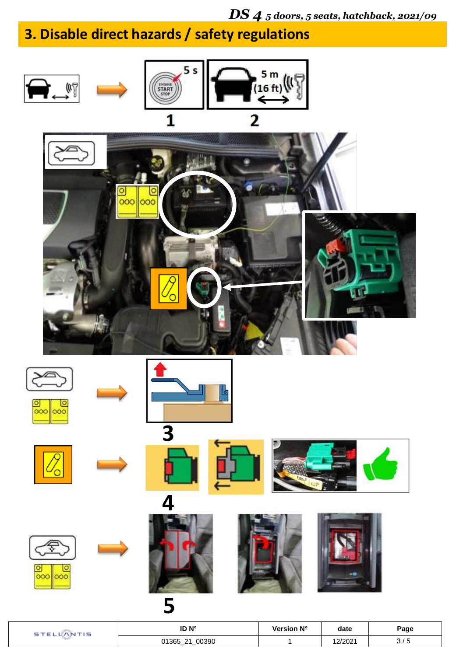## *DS 4 5 doors, 5 seats, hatchback, 2021/09*

# **3. Disable direct hazards / safety regulations**



| ID N <sup>°</sup>                  | Version N° | date   | Page |
|------------------------------------|------------|--------|------|
| 00390<br>01365<br>-21<br>__<br>. — |            | 2/202' | ັ    |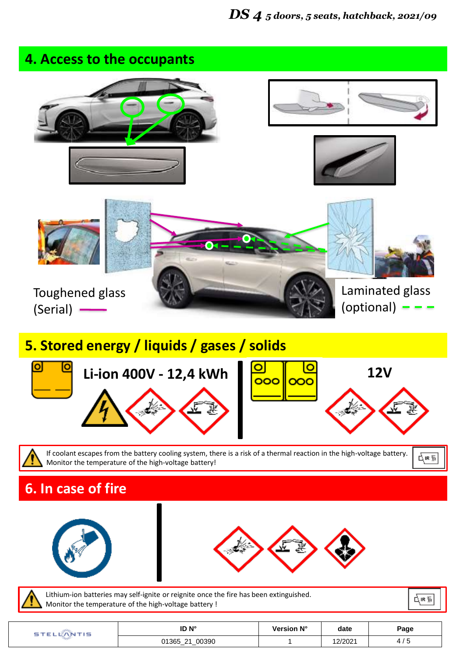

| ID N°             | Version N° | date   | Page |
|-------------------|------------|--------|------|
| 00390<br>01365_21 |            | 2/2021 | ں ہ  |